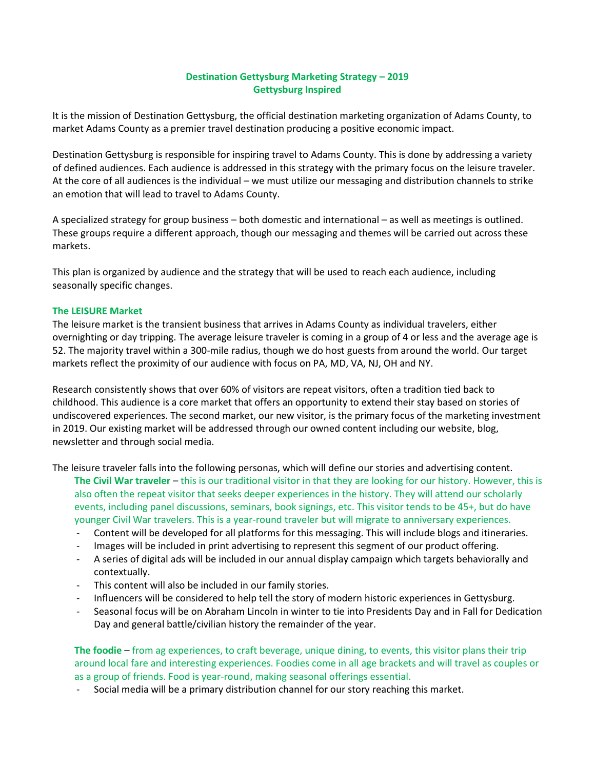# **Destination Gettysburg Marketing Strategy – 2019 Gettysburg Inspired**

It is the mission of Destination Gettysburg, the official destination marketing organization of Adams County, to market Adams County as a premier travel destination producing a positive economic impact.

Destination Gettysburg is responsible for inspiring travel to Adams County. This is done by addressing a variety of defined audiences. Each audience is addressed in this strategy with the primary focus on the leisure traveler. At the core of all audiences is the individual – we must utilize our messaging and distribution channels to strike an emotion that will lead to travel to Adams County.

A specialized strategy for group business – both domestic and international – as well as meetings is outlined. These groups require a different approach, though our messaging and themes will be carried out across these markets.

This plan is organized by audience and the strategy that will be used to reach each audience, including seasonally specific changes.

#### **The LEISURE Market**

The leisure market is the transient business that arrives in Adams County as individual travelers, either overnighting or day tripping. The average leisure traveler is coming in a group of 4 or less and the average age is 52. The majority travel within a 300-mile radius, though we do host guests from around the world. Our target markets reflect the proximity of our audience with focus on PA, MD, VA, NJ, OH and NY.

Research consistently shows that over 60% of visitors are repeat visitors, often a tradition tied back to childhood. This audience is a core market that offers an opportunity to extend their stay based on stories of undiscovered experiences. The second market, our new visitor, is the primary focus of the marketing investment in 2019. Our existing market will be addressed through our owned content including our website, blog, newsletter and through social media.

The leisure traveler falls into the following personas, which will define our stories and advertising content. **The Civil War traveler** – this is our traditional visitor in that they are looking for our history. However, this is also often the repeat visitor that seeks deeper experiences in the history. They will attend our scholarly events, including panel discussions, seminars, book signings, etc. This visitor tends to be 45+, but do have younger Civil War travelers. This is a year-round traveler but will migrate to anniversary experiences.

- Content will be developed for all platforms for this messaging. This will include blogs and itineraries.
- Images will be included in print advertising to represent this segment of our product offering.
- A series of digital ads will be included in our annual display campaign which targets behaviorally and contextually.
- This content will also be included in our family stories.
- Influencers will be considered to help tell the story of modern historic experiences in Gettysburg.
- Seasonal focus will be on Abraham Lincoln in winter to tie into Presidents Day and in Fall for Dedication Day and general battle/civilian history the remainder of the year.

**The foodie** – from ag experiences, to craft beverage, unique dining, to events, this visitor plans their trip around local fare and interesting experiences. Foodies come in all age brackets and will travel as couples or as a group of friends. Food is year-round, making seasonal offerings essential.

- Social media will be a primary distribution channel for our story reaching this market.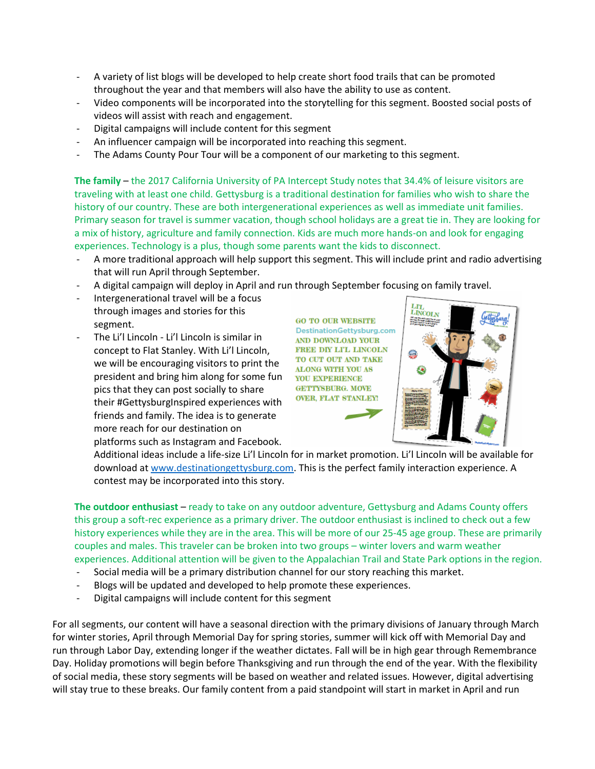- A variety of list blogs will be developed to help create short food trails that can be promoted throughout the year and that members will also have the ability to use as content.
- Video components will be incorporated into the storytelling for this segment. Boosted social posts of videos will assist with reach and engagement.
- Digital campaigns will include content for this segment
- An influencer campaign will be incorporated into reaching this segment.
- The Adams County Pour Tour will be a component of our marketing to this segment.

**The family** – the 2017 California University of PA Intercept Study notes that 34.4% of leisure visitors are traveling with at least one child. Gettysburg is a traditional destination for families who wish to share the history of our country. These are both intergenerational experiences as well as immediate unit families. Primary season for travel is summer vacation, though school holidays are a great tie in. They are looking for a mix of history, agriculture and family connection. Kids are much more hands-on and look for engaging experiences. Technology is a plus, though some parents want the kids to disconnect.

- A more traditional approach will help support this segment. This will include print and radio advertising that will run April through September.
- A digital campaign will deploy in April and run through September focusing on family travel.
- Intergenerational travel will be a focus through images and stories for this segment.
- The Li'l Lincoln Li'l Lincoln is similar in concept to Flat Stanley. With Li'l Lincoln, we will be encouraging visitors to print the president and bring him along for some fun pics that they can post socially to share their #GettysburgInspired experiences with friends and family. The idea is to generate more reach for our destination on platforms such as Instagram and Facebook.

**GO TO OUR WEBSITE** DestinationGettysburg.com AND DOWNLOAD YOUR FREE DIY LTL LINCOLN TO CUT OUT AND TAKE ALONG WITH YOU AS YOU EXPERIENCE **GETTYSBURG. MOVE OVER. FLAT STANLEY!** 



Additional ideas include a life-size Li'l Lincoln for in market promotion. Li'l Lincoln will be available for download at [www.destinationgettysburg.com.](http://www.destinationgettysburg.com/) This is the perfect family interaction experience. A contest may be incorporated into this story.

**The outdoor enthusiast** – ready to take on any outdoor adventure, Gettysburg and Adams County offers this group a soft-rec experience as a primary driver. The outdoor enthusiast is inclined to check out a few history experiences while they are in the area. This will be more of our 25-45 age group. These are primarily couples and males. This traveler can be broken into two groups – winter lovers and warm weather experiences. Additional attention will be given to the Appalachian Trail and State Park options in the region.

- Social media will be a primary distribution channel for our story reaching this market.
- Blogs will be updated and developed to help promote these experiences.
- Digital campaigns will include content for this segment

For all segments, our content will have a seasonal direction with the primary divisions of January through March for winter stories, April through Memorial Day for spring stories, summer will kick off with Memorial Day and run through Labor Day, extending longer if the weather dictates. Fall will be in high gear through Remembrance Day. Holiday promotions will begin before Thanksgiving and run through the end of the year. With the flexibility of social media, these story segments will be based on weather and related issues. However, digital advertising will stay true to these breaks. Our family content from a paid standpoint will start in market in April and run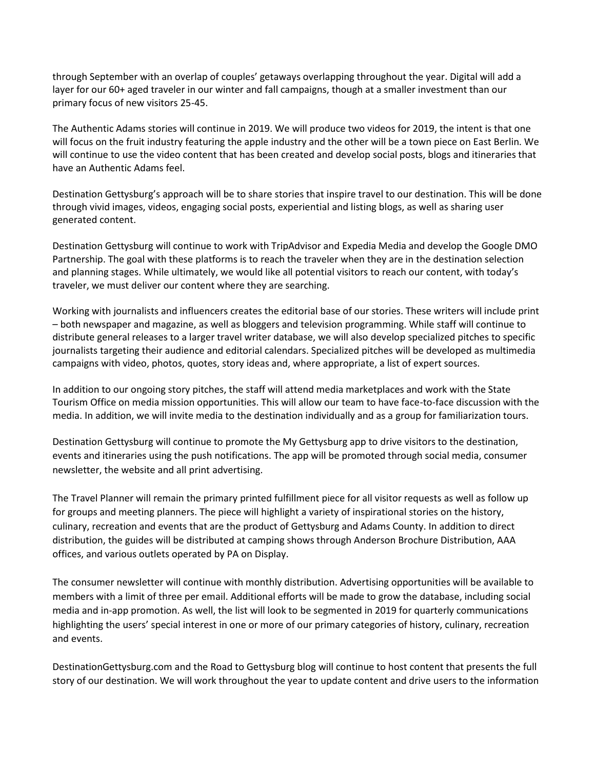through September with an overlap of couples' getaways overlapping throughout the year. Digital will add a layer for our 60+ aged traveler in our winter and fall campaigns, though at a smaller investment than our primary focus of new visitors 25-45.

The Authentic Adams stories will continue in 2019. We will produce two videos for 2019, the intent is that one will focus on the fruit industry featuring the apple industry and the other will be a town piece on East Berlin. We will continue to use the video content that has been created and develop social posts, blogs and itineraries that have an Authentic Adams feel.

Destination Gettysburg's approach will be to share stories that inspire travel to our destination. This will be done through vivid images, videos, engaging social posts, experiential and listing blogs, as well as sharing user generated content.

Destination Gettysburg will continue to work with TripAdvisor and Expedia Media and develop the Google DMO Partnership. The goal with these platforms is to reach the traveler when they are in the destination selection and planning stages. While ultimately, we would like all potential visitors to reach our content, with today's traveler, we must deliver our content where they are searching.

Working with journalists and influencers creates the editorial base of our stories. These writers will include print – both newspaper and magazine, as well as bloggers and television programming. While staff will continue to distribute general releases to a larger travel writer database, we will also develop specialized pitches to specific journalists targeting their audience and editorial calendars. Specialized pitches will be developed as multimedia campaigns with video, photos, quotes, story ideas and, where appropriate, a list of expert sources.

In addition to our ongoing story pitches, the staff will attend media marketplaces and work with the State Tourism Office on media mission opportunities. This will allow our team to have face-to-face discussion with the media. In addition, we will invite media to the destination individually and as a group for familiarization tours.

Destination Gettysburg will continue to promote the My Gettysburg app to drive visitors to the destination, events and itineraries using the push notifications. The app will be promoted through social media, consumer newsletter, the website and all print advertising.

The Travel Planner will remain the primary printed fulfillment piece for all visitor requests as well as follow up for groups and meeting planners. The piece will highlight a variety of inspirational stories on the history, culinary, recreation and events that are the product of Gettysburg and Adams County. In addition to direct distribution, the guides will be distributed at camping shows through Anderson Brochure Distribution, AAA offices, and various outlets operated by PA on Display.

The consumer newsletter will continue with monthly distribution. Advertising opportunities will be available to members with a limit of three per email. Additional efforts will be made to grow the database, including social media and in-app promotion. As well, the list will look to be segmented in 2019 for quarterly communications highlighting the users' special interest in one or more of our primary categories of history, culinary, recreation and events.

DestinationGettysburg.com and the Road to Gettysburg blog will continue to host content that presents the full story of our destination. We will work throughout the year to update content and drive users to the information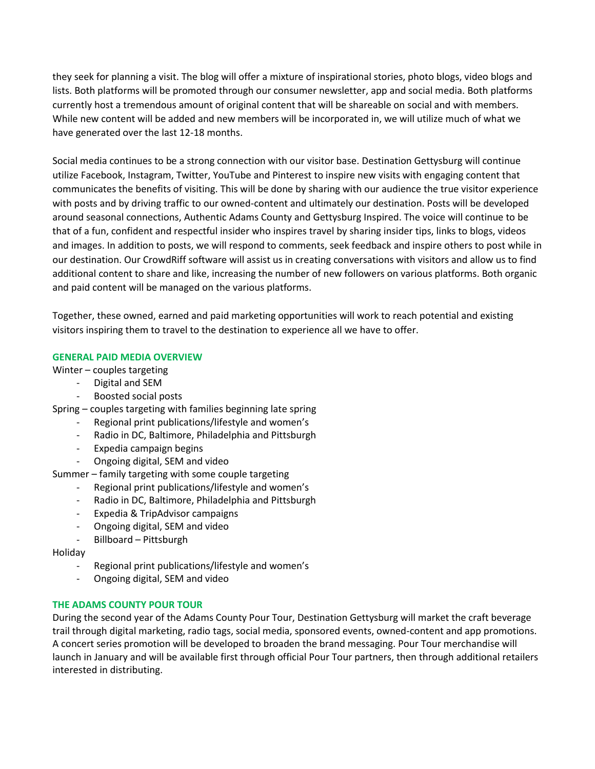they seek for planning a visit. The blog will offer a mixture of inspirational stories, photo blogs, video blogs and lists. Both platforms will be promoted through our consumer newsletter, app and social media. Both platforms currently host a tremendous amount of original content that will be shareable on social and with members. While new content will be added and new members will be incorporated in, we will utilize much of what we have generated over the last 12-18 months.

Social media continues to be a strong connection with our visitor base. Destination Gettysburg will continue utilize Facebook, Instagram, Twitter, YouTube and Pinterest to inspire new visits with engaging content that communicates the benefits of visiting. This will be done by sharing with our audience the true visitor experience with posts and by driving traffic to our owned-content and ultimately our destination. Posts will be developed around seasonal connections, Authentic Adams County and Gettysburg Inspired. The voice will continue to be that of a fun, confident and respectful insider who inspires travel by sharing insider tips, links to blogs, videos and images. In addition to posts, we will respond to comments, seek feedback and inspire others to post while in our destination. Our CrowdRiff software will assist us in creating conversations with visitors and allow us to find additional content to share and like, increasing the number of new followers on various platforms. Both organic and paid content will be managed on the various platforms.

Together, these owned, earned and paid marketing opportunities will work to reach potential and existing visitors inspiring them to travel to the destination to experience all we have to offer.

## **GENERAL PAID MEDIA OVERVIEW**

Winter – couples targeting

- Digital and SEM
- Boosted social posts
- Spring couples targeting with families beginning late spring
	- Regional print publications/lifestyle and women's
	- Radio in DC, Baltimore, Philadelphia and Pittsburgh
	- Expedia campaign begins
	- Ongoing digital, SEM and video

Summer – family targeting with some couple targeting

- Regional print publications/lifestyle and women's
- Radio in DC, Baltimore, Philadelphia and Pittsburgh
- Expedia & TripAdvisor campaigns
- Ongoing digital, SEM and video
- Billboard Pittsburgh

Holiday

- Regional print publications/lifestyle and women's
- Ongoing digital, SEM and video

#### **THE ADAMS COUNTY POUR TOUR**

During the second year of the Adams County Pour Tour, Destination Gettysburg will market the craft beverage trail through digital marketing, radio tags, social media, sponsored events, owned-content and app promotions. A concert series promotion will be developed to broaden the brand messaging. Pour Tour merchandise will launch in January and will be available first through official Pour Tour partners, then through additional retailers interested in distributing.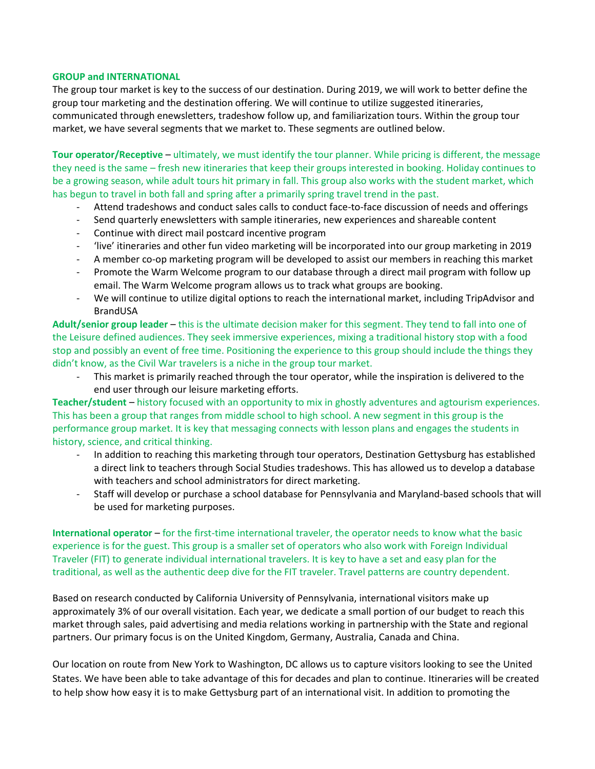#### **GROUP and INTERNATIONAL**

The group tour market is key to the success of our destination. During 2019, we will work to better define the group tour marketing and the destination offering. We will continue to utilize suggested itineraries, communicated through enewsletters, tradeshow follow up, and familiarization tours. Within the group tour market, we have several segments that we market to. These segments are outlined below.

**Tour operator/Receptive** – ultimately, we must identify the tour planner. While pricing is different, the message they need is the same – fresh new itineraries that keep their groups interested in booking. Holiday continues to be a growing season, while adult tours hit primary in fall. This group also works with the student market, which has begun to travel in both fall and spring after a primarily spring travel trend in the past.

- Attend tradeshows and conduct sales calls to conduct face-to-face discussion of needs and offerings
- Send quarterly enewsletters with sample itineraries, new experiences and shareable content
- Continue with direct mail postcard incentive program
- 'live' itineraries and other fun video marketing will be incorporated into our group marketing in 2019
- A member co-op marketing program will be developed to assist our members in reaching this market
- Promote the Warm Welcome program to our database through a direct mail program with follow up email. The Warm Welcome program allows us to track what groups are booking.
- We will continue to utilize digital options to reach the international market, including TripAdvisor and BrandUSA

**Adult/senior group leader** – this is the ultimate decision maker for this segment. They tend to fall into one of the Leisure defined audiences. They seek immersive experiences, mixing a traditional history stop with a food stop and possibly an event of free time. Positioning the experience to this group should include the things they didn't know, as the Civil War travelers is a niche in the group tour market.

This market is primarily reached through the tour operator, while the inspiration is delivered to the end user through our leisure marketing efforts.

**Teacher/student** – history focused with an opportunity to mix in ghostly adventures and agtourism experiences. This has been a group that ranges from middle school to high school. A new segment in this group is the performance group market. It is key that messaging connects with lesson plans and engages the students in history, science, and critical thinking.

- In addition to reaching this marketing through tour operators, Destination Gettysburg has established a direct link to teachers through Social Studies tradeshows. This has allowed us to develop a database with teachers and school administrators for direct marketing.
- Staff will develop or purchase a school database for Pennsylvania and Maryland-based schools that will be used for marketing purposes.

**International operator** – for the first-time international traveler, the operator needs to know what the basic experience is for the guest. This group is a smaller set of operators who also work with Foreign Individual Traveler (FIT) to generate individual international travelers. It is key to have a set and easy plan for the traditional, as well as the authentic deep dive for the FIT traveler. Travel patterns are country dependent.

Based on research conducted by California University of Pennsylvania, international visitors make up approximately 3% of our overall visitation. Each year, we dedicate a small portion of our budget to reach this market through sales, paid advertising and media relations working in partnership with the State and regional partners. Our primary focus is on the United Kingdom, Germany, Australia, Canada and China.

Our location on route from New York to Washington, DC allows us to capture visitors looking to see the United States. We have been able to take advantage of this for decades and plan to continue. Itineraries will be created to help show how easy it is to make Gettysburg part of an international visit. In addition to promoting the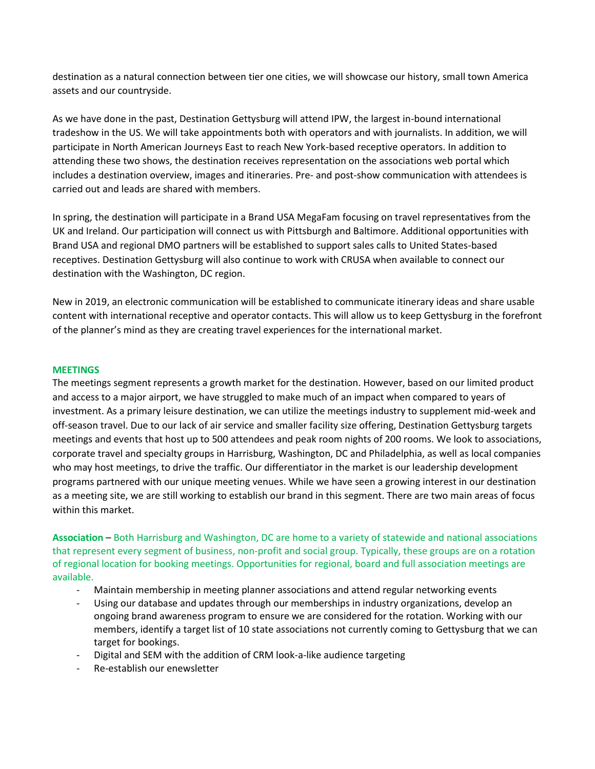destination as a natural connection between tier one cities, we will showcase our history, small town America assets and our countryside.

As we have done in the past, Destination Gettysburg will attend IPW, the largest in-bound international tradeshow in the US. We will take appointments both with operators and with journalists. In addition, we will participate in North American Journeys East to reach New York-based receptive operators. In addition to attending these two shows, the destination receives representation on the associations web portal which includes a destination overview, images and itineraries. Pre- and post-show communication with attendees is carried out and leads are shared with members.

In spring, the destination will participate in a Brand USA MegaFam focusing on travel representatives from the UK and Ireland. Our participation will connect us with Pittsburgh and Baltimore. Additional opportunities with Brand USA and regional DMO partners will be established to support sales calls to United States-based receptives. Destination Gettysburg will also continue to work with CRUSA when available to connect our destination with the Washington, DC region.

New in 2019, an electronic communication will be established to communicate itinerary ideas and share usable content with international receptive and operator contacts. This will allow us to keep Gettysburg in the forefront of the planner's mind as they are creating travel experiences for the international market.

### **MEETINGS**

The meetings segment represents a growth market for the destination. However, based on our limited product and access to a major airport, we have struggled to make much of an impact when compared to years of investment. As a primary leisure destination, we can utilize the meetings industry to supplement mid-week and off-season travel. Due to our lack of air service and smaller facility size offering, Destination Gettysburg targets meetings and events that host up to 500 attendees and peak room nights of 200 rooms. We look to associations, corporate travel and specialty groups in Harrisburg, Washington, DC and Philadelphia, as well as local companies who may host meetings, to drive the traffic. Our differentiator in the market is our leadership development programs partnered with our unique meeting venues. While we have seen a growing interest in our destination as a meeting site, we are still working to establish our brand in this segment. There are two main areas of focus within this market.

**Association** – Both Harrisburg and Washington, DC are home to a variety of statewide and national associations that represent every segment of business, non-profit and social group. Typically, these groups are on a rotation of regional location for booking meetings. Opportunities for regional, board and full association meetings are available.

- Maintain membership in meeting planner associations and attend regular networking events
- Using our database and updates through our memberships in industry organizations, develop an ongoing brand awareness program to ensure we are considered for the rotation. Working with our members, identify a target list of 10 state associations not currently coming to Gettysburg that we can target for bookings.
- Digital and SEM with the addition of CRM look-a-like audience targeting
- Re-establish our enewsletter